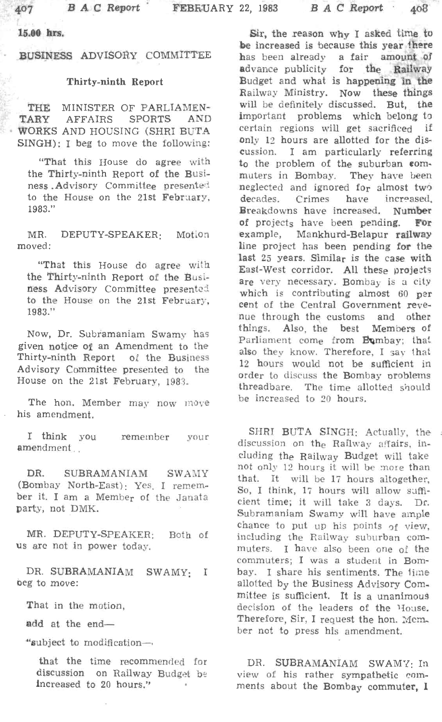15.00 hrs.

BUSINESS ADVISORy COMMITTEE

## Thirty-ninth Report

THE MINISTER OF PARLIAMEN-TARY AFFAIRS SPORTS AND WORKS AND HOUSING (SHRI BUTA SINGH): I beg to move the following:

"That this House do agree with the Thirty-ninth Report of the Business . Advisory Committee presented. to the House on the 21st February, 1983."

MR. DEPUTY-SPEAKER: Motion moved:

"That this House do agree with the Thirty-ninth Report of the Business Advisory Committee presentei to the House on the 21st February, 1983."

Now, Dr. Subramaniam Swamy has given notice Of an Amendment to the Thirty-ninth Report of the Business Advisory Committee presented to the House on the 21st February, 1983.

The hon. Member may now m0ve his amendment.

I think yOU amendment ... remember your

DR. SUBRAMANIAM SWAMY (Bombay North-East): Yes. I remember it. I am a Member of the Janata party, not DMK.

MR. DEPUTY-SPEAKER: Both of us are not in power today.

DR. SUBRAMANIAM SWAMY: I beg to move:

That in the motion,

add at the end-

"subject to modification-.

that the time recommended for discussion on Railway Budget be increased to 20 hours."

Sir, the reason why I asked time to be increased is because this year there has been already a fair amount of advance publicity for the Railway Budget and what is happening in the Railway Ministry. Now these things will be definitely discussed. But, the important problems which belong to certain regions will get sacrificed if only 12 hours are allotted for the discussion. I am particularly referring to the problem of the suburban commuters in Bombay. They have been neglected and ignored for almost two<br>decades. Crimes have increased. Crimes have increased. Breakdowns have increased. Number of projects have been pending. For example, Mankhurd-Belapur railway line project has been pending fot the last 25 years. Similar is the case with East-West corridor. All these projects are very necessary. Bombay is a city which is contributing almost  $60$  per cent of the Central Government revenue through the customs and other things. Also, the best Members of Parliament come from Bumbay; that also they know. Therefore, I say that 12 hours would not be sufficient in order to discuss the Bombay oroblems threadbare. The time allotted should be increased to 20 hours.

SHRI BUTA SINGH: Actually, the discussion on the Railway affairs, including the Railway Budget will take not only 12 hours it will be more than that. It will be 17 hours altogether, So, I think, 17 hours will allow sufficient time; it will take 3 days. Dr. Subramaniam Swamy will have ample chance to put up his points  $of$  view, including the Railway suburban commuters. I have also been one of the commuters; I was a student in Bombay. I share his sentiments. The time allotted by the Business Advisory Committee is sufficient. It is a unanimous decision of the leaders of the House. Therefore, Sir, I request the hon. Mem. ber not to press his amendment.

DR. SUBRAMANIAM SWAMY: In view of his rather sympathetic comments about the Bombay commuter, 1